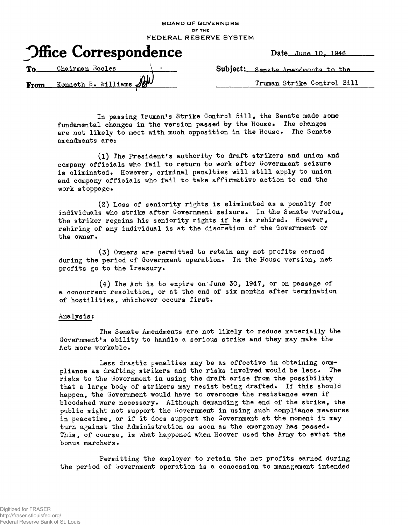| board of covering ro              |
|-----------------------------------|
| <b>DF THE</b>                     |
| FEDERAL RESERVE SYSTEM            |
| Date June 10, 1946                |
| Subject: Senate Amendments to the |
| Truman Strike Control Bill        |
|                                   |

**BOARD OF GOVERNORS**

In passing Truman's Strike Control Bill, the Senate made some fundamental changes in the version passed by the House. The changes are not likely to meet with much opposition in the House. The Senate amendments ares

(1) The President's authority to draft strikers and union and company officials who fail to return to work after Government seizure is eliminated. However, criminal penalties will still apply to union and company officials who fail to take affirmative action to end the work stoppage.

(2) Loss of seniority rights is eliminated as a penalty for individuals who strike after Government seizure. In the Senate version, the striker regains his seniority rights if he is rehired. However, rehiring of any individual is at the discretion of the Government or the owner•

(3) Owners are permitted to retain any net profits earned during the period of Government operation. In the House version, net profits go to the Treasury.

(4) The Act is to expire on'June 30, 1947, or on passage of a concurrent resolution, or at the end of six months after termination of hostilities, whichever occurs first.

## Analysis?

The Senate Amendments are not likely to reduce materially the Government's ability to handle a serious strike and they may make the Act more workable.

Less drastic penalties may be as effective in obtaining compliance as drafting strikers and the risks involved would be less. The risks to the Government in using the draft arise from the possibility that a large body of strikers may resist being drafted. If this should happen, the Government would have to overcome the resistance even if bloodshed were necessary. Although demanding the end of the strike, the public might not support the Government in using such compliance measures in peacetime, or if it does support the Oovernment at the moment it may turn against the Administration as soon as the emergency has passed. This, of course, is what happened when Hoover used the Army to evict the bonus marchers.

Permitting the employer to retain the net profits earned during the period of Government operation is a concession to management intended